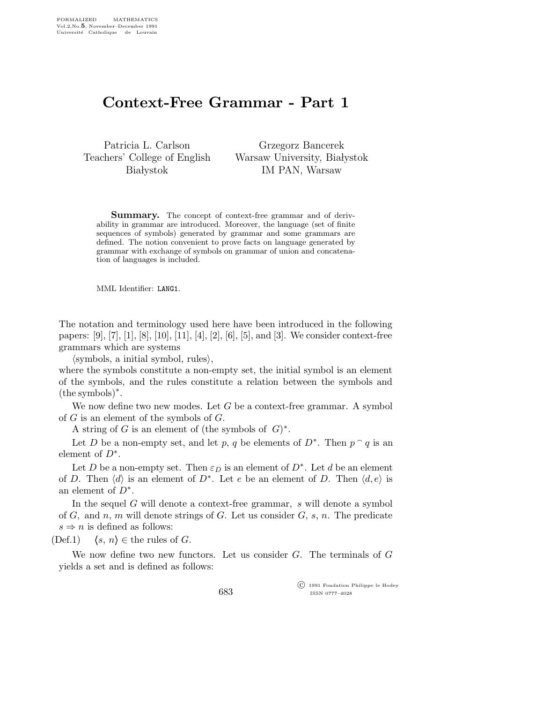## Context-Free Grammar - Part 1

Patricia L. Carlson Teachers' College of English **Białystok** 

Grzegorz Bancerek Warsaw University, Białystok IM PAN, Warsaw

**Summary.** The concept of context-free grammar and of derivability in grammar are introduced. Moreover, the language (set of finite sequences of symbols) generated by grammar and some grammars are defined. The notion convenient to prove facts on language generated by grammar with exchange of symbols on grammar of union and concatenation of languages is included.

MML Identifier: LANG1.

The notation and terminology used here have been introduced in the following papers: [9], [7], [1], [8], [10], [11], [4], [2], [6], [5], and [3]. We consider context-free grammars which are systems

 $\langle$ symbols, a initial symbol, rules $\rangle$ ,

where the symbols constitute a non-empty set, the initial symbol is an element of the symbols, and the rules constitute a relation between the symbols and  $(the symbols)^*.$ 

We now define two new modes. Let  $G$  be a context-free grammar. A symbol of G is an element of the symbols of G.

A string of G is an element of (the symbols of  $G$ )<sup>\*</sup>.

Let D be a non-empty set, and let p, q be elements of  $D^*$ . Then  $p \n q$  is an element of  $D^*$ .

Let D be a non-empty set. Then  $\varepsilon_D$  is an element of  $D^*$ . Let d be an element of D. Then  $\langle d \rangle$  is an element of D<sup>∗</sup>. Let e be an element of D. Then  $\langle d, e \rangle$  is an element of  $D^*$ .

In the sequel G will denote a context-free grammar, s will denote a symbol of  $G$ , and  $n$ ,  $m$  will denote strings of  $G$ . Let us consider  $G$ ,  $s$ ,  $n$ . The predicate  $s \Rightarrow n$  is defined as follows:

(Def.1)  $\langle s, n \rangle \in \text{the rules of } G.$ 

We now define two new functors. Let us consider  $G$ . The terminals of  $G$ yields a set and is defined as follows:

683

 c 1991 Fondation Philippe le Hodey ISSN 0777–4028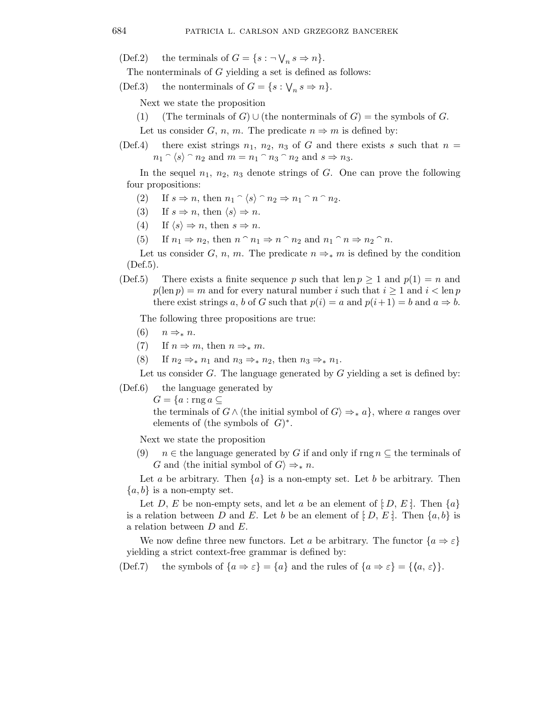(Def.2) the terminals of  $G = \{s : \neg \bigvee_n s \Rightarrow n\}.$ 

The nonterminals of G yielding a set is defined as follows:

(Def.3) the nonterminals of  $G = \{s : \bigvee_n s \Rightarrow n\}.$ 

Next we state the proposition

(1) (The terminals of G) ∪ (the nonterminals of G) = the symbols of G.

Let us consider G, n, m. The predicate  $n \Rightarrow m$  is defined by:

(Def.4) there exist strings  $n_1$ ,  $n_2$ ,  $n_3$  of G and there exists s such that  $n =$  $n_1 \cap \langle s \rangle \cap n_2$  and  $m = n_1 \cap n_3 \cap n_2$  and  $s \Rightarrow n_3$ .

In the sequel  $n_1$ ,  $n_2$ ,  $n_3$  denote strings of G. One can prove the following four propositions:

- (2) If  $s \Rightarrow n$ , then  $n_1 \hat{ } \langle s \rangle \hat{ } \neg n_2 \Rightarrow n_1 \hat{ } \neg n \hat{ } \neg n_2$ .
- (3) If  $s \Rightarrow n$ , then  $\langle s \rangle \Rightarrow n$ .
- (4) If  $\langle s \rangle \Rightarrow n$ , then  $s \Rightarrow n$ .
- (5) If  $n_1 \Rightarrow n_2$ , then  $n \cap n_1 \Rightarrow n \cap n_2$  and  $n_1 \cap n \Rightarrow n_2 \cap n$ .

Let us consider G, n, m. The predicate  $n \Rightarrow_{*} m$  is defined by the condition (Def.5).

(Def.5) There exists a finite sequence p such that len  $p > 1$  and  $p(1) = n$  and  $p(\text{len } p) = m$  and for every natural number i such that  $i \geq 1$  and  $i < \text{len } p$ there exist strings a, b of G such that  $p(i) = a$  and  $p(i+1) = b$  and  $a \Rightarrow b$ .

The following three propositions are true:

- $(6)$   $n \Rightarrow_{*} n$ .
- (7) If  $n \Rightarrow m$ , then  $n \Rightarrow_{*} m$ .
- (8) If  $n_2 \Rightarrow_* n_1$  and  $n_3 \Rightarrow_* n_2$ , then  $n_3 \Rightarrow_* n_1$ .

Let us consider G. The language generated by  $G$  yielding a set is defined by:

(Def.6) the language generated by

 $G = \{a : \text{rng } a \subseteq$ 

the terminals of  $G \wedge \langle$  the initial symbol of  $G \rangle \Rightarrow_{\ast} a$ , where a ranges over elements of (the symbols of  $G$ )<sup>\*</sup>.

Next we state the proposition

(9)  $n \in$  the language generated by G if and only if rng  $n \subseteq$  the terminals of G and  $\langle$  the initial symbol of  $G\rangle \Rightarrow_{*} n$ .

Let a be arbitrary. Then  $\{a\}$  is a non-empty set. Let b be arbitrary. Then  ${a,b}$  is a non-empty set.

Let D, E be non-empty sets, and let a be an element of  $|D, E|$ . Then  $\{a\}$ is a relation between D and E. Let b be an element of  $[D, E]$ . Then  $\{a, b\}$  is a relation between D and E.

We now define three new functors. Let a be arbitrary. The functor  $\{a \Rightarrow \varepsilon\}$ yielding a strict context-free grammar is defined by:

(Def.7) the symbols of  $\{a \Rightarrow \varepsilon\} = \{a\}$  and the rules of  $\{a \Rightarrow \varepsilon\} = \{\langle a, \varepsilon \rangle\}.$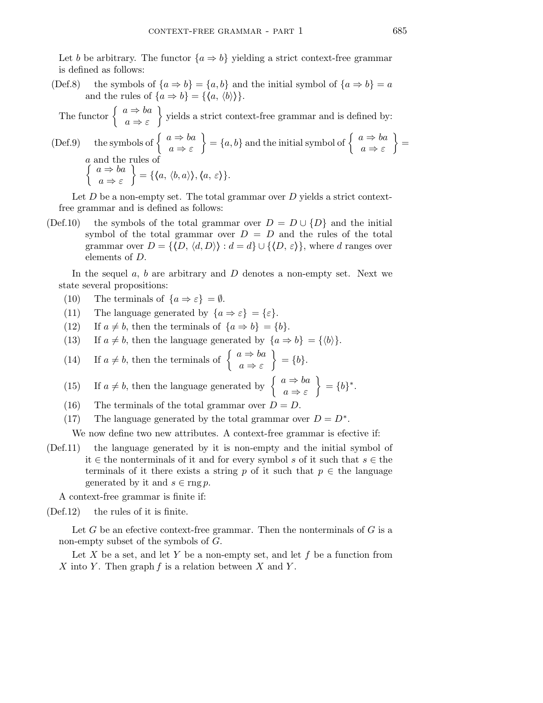Let b be arbitrary. The functor  $\{a \Rightarrow b\}$  yielding a strict context-free grammar is defined as follows:

(Def.8) the symbols of  $\{a \Rightarrow b\} = \{a, b\}$  and the initial symbol of  $\{a \Rightarrow b\} = a$ and the rules of  $\{a \Rightarrow b\} = \{\langle a, \langle b \rangle \rangle\}.$ 

The functor  $\begin{cases} a \Rightarrow ba \end{cases}$  $a \Rightarrow \varepsilon$ yields a strict context-free grammar and is defined by:

(Def.9) the symbols of  $\begin{cases} a \Rightarrow ba \end{cases}$  $a \Rightarrow \varepsilon$  $\{\begin{array}{c} a \Rightarrow ba \end{array}\}$  and the initial symbol of  $\begin{array}{c} a \Rightarrow ba \end{array}$  $a \Rightarrow \varepsilon$  $\}$  = a  $\int$ and the rules of  $a \Rightarrow ba$  $a \Rightarrow \varepsilon$  $\Big\} = \{\langle a, \langle b,a \rangle\rangle, \langle a, \varepsilon \rangle\}.$ 

Let  $D$  be a non-empty set. The total grammar over  $D$  yields a strict contextfree grammar and is defined as follows:

(Def.10) the symbols of the total grammar over  $D = D \cup \{D\}$  and the initial symbol of the total grammar over  $D = D$  and the rules of the total grammar over  $D = \{ \langle D, \langle d, D \rangle \} : d = d \} \cup \{ \langle D, \varepsilon \rangle \}$ , where d ranges over elements of D.

In the sequel  $a, b$  are arbitrary and  $D$  denotes a non-empty set. Next we state several propositions:

- (10) The terminals of  $\{a \Rightarrow \varepsilon\} = \emptyset$ .
- (11) The language generated by  $\{a \Rightarrow \varepsilon\} = \{\varepsilon\}.$
- (12) If  $a \neq b$ , then the terminals of  $\{a \Rightarrow b\} = \{b\}.$
- (13) If  $a \neq b$ , then the language generated by  $\{a \Rightarrow b\} = \{\langle b \rangle\}.$

(14) If 
$$
a \neq b
$$
, then the terminals of  $\begin{cases} a \Rightarrow ba \\ a \Rightarrow \varepsilon \end{cases} = \{b\}.$ 

(15) If 
$$
a \neq b
$$
, then the language generated by  $\begin{cases} a \Rightarrow ba \\ a \Rightarrow \varepsilon \end{cases} = \{b\}^*$ .

- (16) The terminals of the total grammar over  $D = D$ .
- (17) The language generated by the total grammar over  $D = D^*$ .

We now define two new attributes. A context-free grammar is efective if:

(Def.11) the language generated by it is non-empty and the initial symbol of it ∈ the nonterminals of it and for every symbol s of it such that  $s \in$  the terminals of it there exists a string p of it such that  $p \in$  the language generated by it and  $s \in \text{rng } p$ .

A context-free grammar is finite if:

(Def.12) the rules of it is finite.

Let G be an efective context-free grammar. Then the nonterminals of  $G$  is a non-empty subset of the symbols of G.

Let X be a set, and let Y be a non-empty set, and let f be a function from X into Y. Then graph  $f$  is a relation between  $X$  and  $Y$ .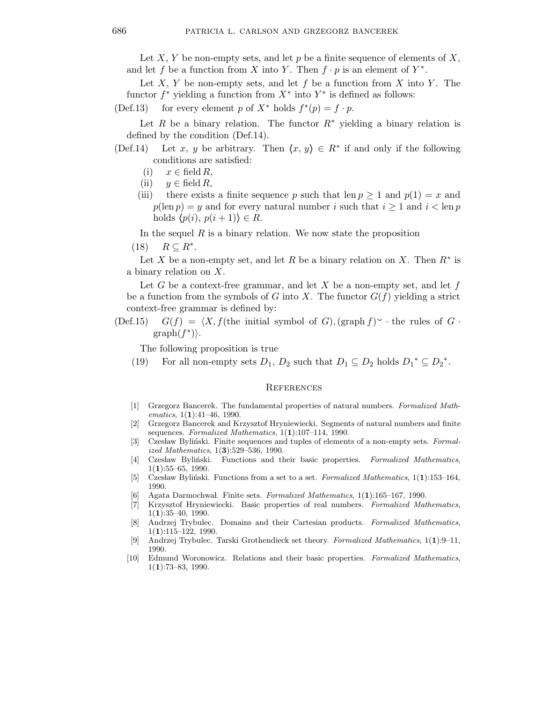Let X, Y be non-empty sets, and let p be a finite sequence of elements of X, and let f be a function from X into Y. Then  $f \cdot p$  is an element of  $Y^*$ .

Let  $X, Y$  be non-empty sets, and let  $f$  be a function from  $X$  into  $Y$ . The functor  $f^*$  yielding a function from  $X^*$  into  $Y^*$  is defined as follows:

(Def.13) for every element p of  $X^*$  holds  $f^*(p) = f \cdot p$ .

Let R be a binary relation. The functor  $R^*$  yielding a binary relation is defined by the condition (Def.14).

- (Def.14) Let x, y be arbitrary. Then  $\langle x, y \rangle \in R^*$  if and only if the following conditions are satisfied:
	- (i)  $x \in \text{field } R$ ,
	- (ii)  $y \in \text{field } R$ ,
	- (iii) there exists a finite sequence p such that len  $p \ge 1$  and  $p(1) = x$  and  $p(\text{len } p) = y$  and for every natural number i such that  $i \ge 1$  and  $i < \text{len } p$ holds  $\langle p(i), p(i+1)\rangle \in R$ .

In the sequel  $R$  is a binary relation. We now state the proposition

 $(18)$   $R \subseteq R^*$ .

Let X be a non-empty set, and let R be a binary relation on X. Then  $R^*$  is a binary relation on X.

Let G be a context-free grammar, and let X be a non-empty set, and let f be a function from the symbols of G into X. The functor  $G(f)$  yielding a strict context-free grammar is defined by:

(Def.15) 
$$
G(f) = \langle X, f(\text{the initial symbol of } G), (\text{graph } f) \rangle
$$
 the rules of  $G$  or  $\text{graph}(f^*)$ ).

The following proposition is true

(19) For all non-empty sets  $D_1, D_2$  such that  $D_1 \subseteq D_2$  holds  $D_1^* \subseteq D_2^*$ .

## **REFERENCES**

- [1] Grzegorz Bancerek. The fundamental properties of natural numbers. Formalized Mathematics,  $1(1):41-46$ , 1990.
- [2] Grzegorz Bancerek and Krzysztof Hryniewiecki. Segments of natural numbers and finite sequences. Formalized Mathematics, 1(1):107-114, 1990.
- [3] Czesław Byliński. Finite sequences and tuples of elements of a non-empty sets. Formalized Mathematics, 1(3):529–536, 1990.
- [4] Czesław Byliński. Functions and their basic properties. Formalized Mathematics,  $1(1):55-65, 1990.$
- [5] Czesław Byliński. Functions from a set to a set. Formalized Mathematics, 1(1):153–164, 1990.
- Agata Darmochwał. Finite sets. Formalized Mathematics, 1(1):165-167, 1990.
- [7] Krzysztof Hryniewiecki. Basic properties of real numbers. Formalized Mathematics,  $1(1):35-40, 1990.$
- [8] Andrzej Trybulec. Domains and their Cartesian products. Formalized Mathematics,  $1(1):115-122, 1990.$
- [9] Andrzej Trybulec. Tarski Grothendieck set theory. Formalized Mathematics, 1(1):9–11, 1990.
- [10] Edmund Woronowicz. Relations and their basic properties. Formalized Mathematics,  $1(1):73-83, 1990.$